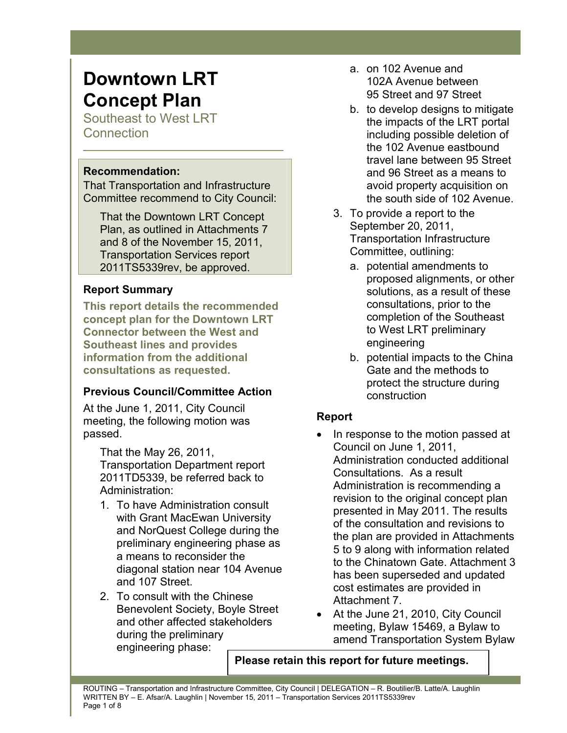# **Downtown LRT Concept Plan**

Southeast to West LRT **Connection** 

## **Recommendation:**

That Transportation and Infrastructure Committee recommend to City Council:

That the Downtown LRT Concept Plan, as outlined in Attachments 7 and 8 of the November 15, 2011, Transportation Services report 2011TS5339rev, be approved.

# **Report Summary**

**This report details the recommended concept plan for the Downtown LRT Connector between the West and Southeast lines and provides information from the additional consultations as requested.** 

# **Previous Council/Committee Action**

At the June 1, 2011, City Council meeting, the following motion was passed.

That the May 26, 2011, Transportation Department report 2011TD5339, be referred back to Administration:

- 1. To have Administration consult with Grant MacEwan University and NorQuest College during the preliminary engineering phase as a means to reconsider the diagonal station near 104 Avenue and 107 Street.
- 2. To consult with the Chinese Benevolent Society, Boyle Street and other affected stakeholders during the preliminary engineering phase:
- a. on 102 Avenue and 102A Avenue between 95 Street and 97 Street
- b. to develop designs to mitigate the impacts of the LRT portal including possible deletion of the 102 Avenue eastbound travel lane between 95 Street and 96 Street as a means to avoid property acquisition on the south side of 102 Avenue.
- 3. To provide a report to the September 20, 2011, Transportation Infrastructure Committee, outlining:
	- a. potential amendments to proposed alignments, or other solutions, as a result of these consultations, prior to the completion of the Southeast to West LRT preliminary engineering
	- b. potential impacts to the China Gate and the methods to protect the structure during construction

# **Report**

- In response to the motion passed at Council on June 1, 2011, Administration conducted additional Consultations. As a result Administration is recommending a revision to the original concept plan presented in May 2011. The results of the consultation and revisions to the plan are provided in Attachments 5 to 9 along with information related to the Chinatown Gate. Attachment 3 has been superseded and updated cost estimates are provided in Attachment 7.
- At the June 21, 2010, City Council meeting, Bylaw 15469, a Bylaw to amend Transportation System Bylaw

**Please retain this report for future meetings.**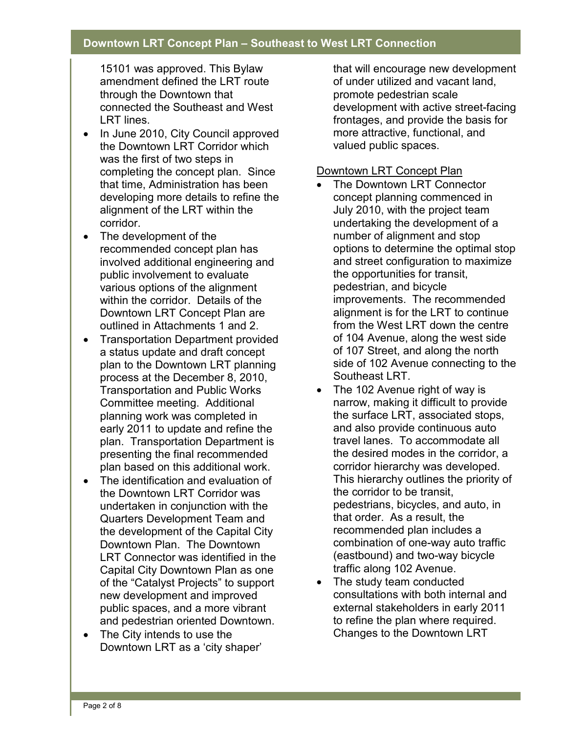15101 was approved. This Bylaw amendment defined the LRT route through the Downtown that connected the Southeast and West LRT lines.

- In June 2010, City Council approved the Downtown LRT Corridor which was the first of two steps in completing the concept plan. Since that time, Administration has been developing more details to refine the alignment of the LRT within the corridor.
- The development of the recommended concept plan has involved additional engineering and public involvement to evaluate various options of the alignment within the corridor. Details of the Downtown LRT Concept Plan are outlined in Attachments 1 and 2.
- Transportation Department provided a status update and draft concept plan to the Downtown LRT planning process at the December 8, 2010, Transportation and Public Works Committee meeting. Additional planning work was completed in early 2011 to update and refine the plan. Transportation Department is presenting the final recommended plan based on this additional work.
- The identification and evaluation of the Downtown LRT Corridor was undertaken in conjunction with the Quarters Development Team and the development of the Capital City Downtown Plan. The Downtown LRT Connector was identified in the Capital City Downtown Plan as one of the "Catalyst Projects" to support new development and improved public spaces, and a more vibrant and pedestrian oriented Downtown.
- The City intends to use the Downtown LRT as a 'city shaper'

that will encourage new development of under utilized and vacant land, promote pedestrian scale development with active street-facing frontages, and provide the basis for more attractive, functional, and valued public spaces.

### Downtown LRT Concept Plan

- The Downtown LRT Connector concept planning commenced in July 2010, with the project team undertaking the development of a number of alignment and stop options to determine the optimal stop and street configuration to maximize the opportunities for transit, pedestrian, and bicycle improvements. The recommended alignment is for the LRT to continue from the West LRT down the centre of 104 Avenue, along the west side of 107 Street, and along the north side of 102 Avenue connecting to the Southeast LRT.
- The 102 Avenue right of way is narrow, making it difficult to provide the surface LRT, associated stops, and also provide continuous auto travel lanes. To accommodate all the desired modes in the corridor, a corridor hierarchy was developed. This hierarchy outlines the priority of the corridor to be transit, pedestrians, bicycles, and auto, in that order. As a result, the recommended plan includes a combination of one-way auto traffic (eastbound) and two-way bicycle traffic along 102 Avenue.
- The study team conducted consultations with both internal and external stakeholders in early 2011 to refine the plan where required. Changes to the Downtown LRT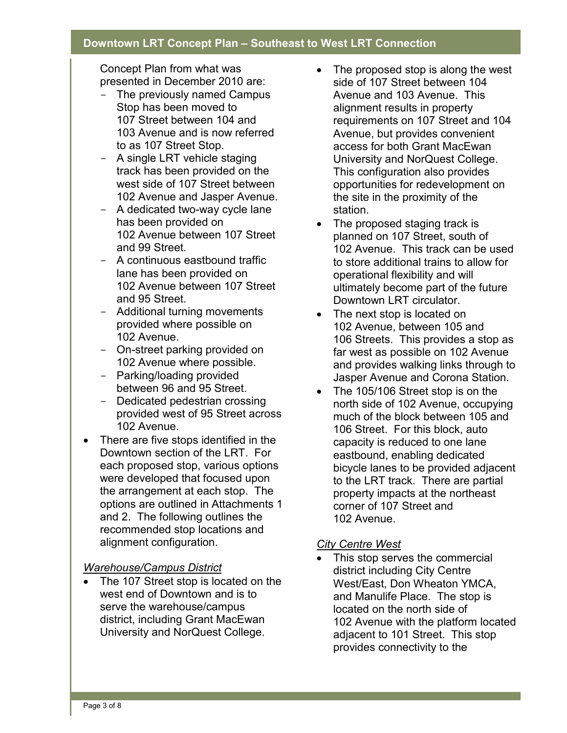Concept Plan from what was presented in December 2010 are:

- The previously named Campus Stop has been moved to 107 Street between 104 and 103 Avenue and is now referred to as 107 Street Stop.
- A single LRT vehicle staging track has been provided on the west side of 107 Street between 102 Avenue and Jasper Avenue.
- A dedicated two-way cycle lane has been provided on 102 Avenue between 107 Street and 99 Street.
- A continuous eastbound traffic lane has been provided on 102 Avenue between 107 Street and 95 Street.
- Additional turning movements provided where possible on 102 Avenue.
- On-street parking provided on 102 Avenue where possible.
- Parking/loading provided between 96 and 95 Street.
- Dedicated pedestrian crossing provided west of 95 Street across 102 Avenue.
- There are five stops identified in the Downtown section of the LRT. For each proposed stop, various options were developed that focused upon the arrangement at each stop. The options are outlined in Attachments 1 and 2. The following outlines the recommended stop locations and alignment configuration.

# *Warehouse/Campus District*

• The 107 Street stop is located on the west end of Downtown and is to serve the warehouse/campus district, including Grant MacEwan University and NorQuest College.

- The proposed stop is along the west side of 107 Street between 104 Avenue and 103 Avenue. This alignment results in property requirements on 107 Street and 104 Avenue, but provides convenient access for both Grant MacEwan University and NorQuest College. This configuration also provides opportunities for redevelopment on the site in the proximity of the station.
- The proposed staging track is planned on 107 Street, south of 102 Avenue. This track can be used to store additional trains to allow for operational flexibility and will ultimately become part of the future Downtown LRT circulator.
- The next stop is located on 102 Avenue, between 105 and 106 Streets. This provides a stop as far west as possible on 102 Avenue and provides walking links through to Jasper Avenue and Corona Station.
- The 105/106 Street stop is on the north side of 102 Avenue, occupying much of the block between 105 and 106 Street. For this block, auto capacity is reduced to one lane eastbound, enabling dedicated bicycle lanes to be provided adjacent to the LRT track. There are partial property impacts at the northeast corner of 107 Street and 102 Avenue.

#### *City Centre West*

This stop serves the commercial district including City Centre West/East, Don Wheaton YMCA, and Manulife Place. The stop is located on the north side of 102 Avenue with the platform located adjacent to 101 Street. This stop provides connectivity to the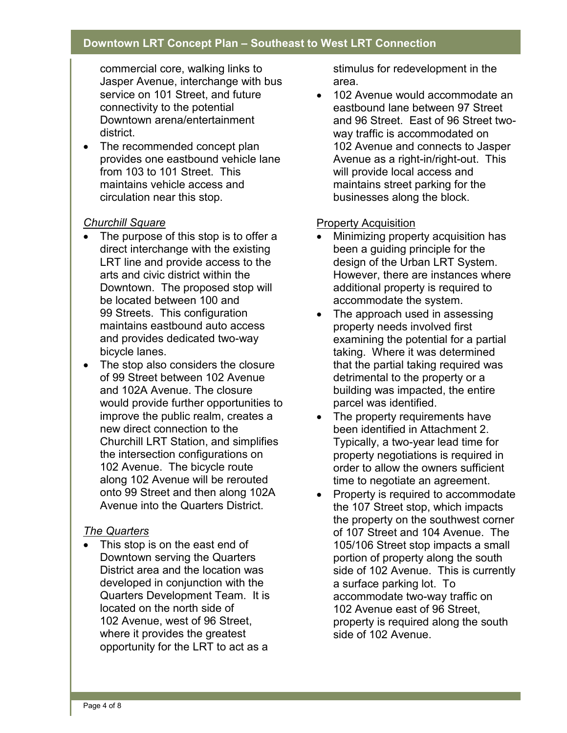commercial core, walking links to Jasper Avenue, interchange with bus service on 101 Street, and future connectivity to the potential Downtown arena/entertainment district.

• The recommended concept plan provides one eastbound vehicle lane from 103 to 101 Street. This maintains vehicle access and circulation near this stop.

#### *Churchill Square*

- The purpose of this stop is to offer a direct interchange with the existing LRT line and provide access to the arts and civic district within the Downtown. The proposed stop will be located between 100 and 99 Streets. This configuration maintains eastbound auto access and provides dedicated two-way bicycle lanes.
- The stop also considers the closure of 99 Street between 102 Avenue and 102A Avenue. The closure would provide further opportunities to improve the public realm, creates a new direct connection to the Churchill LRT Station, and simplifies the intersection configurations on 102 Avenue. The bicycle route along 102 Avenue will be rerouted onto 99 Street and then along 102A Avenue into the Quarters District.

#### *The Quarters*

This stop is on the east end of Downtown serving the Quarters District area and the location was developed in conjunction with the Quarters Development Team. It is located on the north side of 102 Avenue, west of 96 Street, where it provides the greatest opportunity for the LRT to act as a

stimulus for redevelopment in the area.

• 102 Avenue would accommodate an eastbound lane between 97 Street and 96 Street. East of 96 Street twoway traffic is accommodated on 102 Avenue and connects to Jasper Avenue as a right-in/right-out. This will provide local access and maintains street parking for the businesses along the block.

#### Property Acquisition

- Minimizing property acquisition has been a guiding principle for the design of the Urban LRT System. However, there are instances where additional property is required to accommodate the system.
- The approach used in assessing property needs involved first examining the potential for a partial taking. Where it was determined that the partial taking required was detrimental to the property or a building was impacted, the entire parcel was identified.
- The property requirements have been identified in Attachment 2. Typically, a two-year lead time for property negotiations is required in order to allow the owners sufficient time to negotiate an agreement.
- Property is required to accommodate the 107 Street stop, which impacts the property on the southwest corner of 107 Street and 104 Avenue. The 105/106 Street stop impacts a small portion of property along the south side of 102 Avenue. This is currently a surface parking lot. To accommodate two-way traffic on 102 Avenue east of 96 Street, property is required along the south side of 102 Avenue.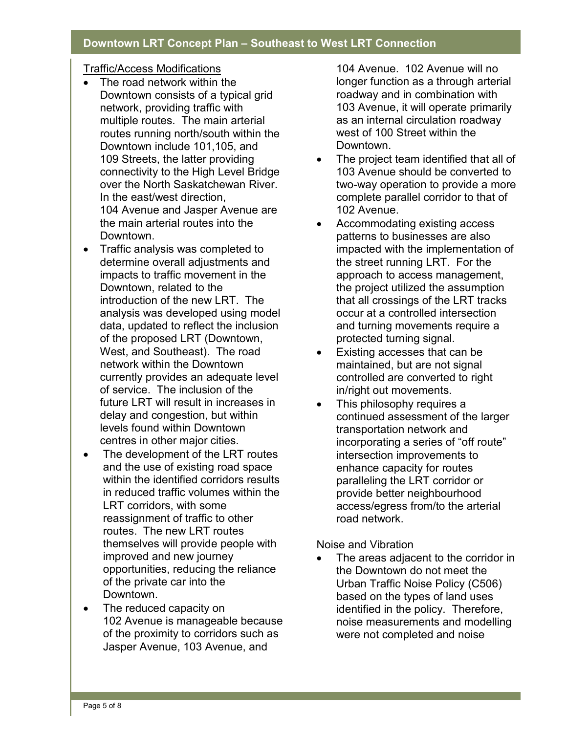#### Traffic/Access Modifications

- The road network within the Downtown consists of a typical grid network, providing traffic with multiple routes. The main arterial routes running north/south within the Downtown include 101,105, and 109 Streets, the latter providing connectivity to the High Level Bridge over the North Saskatchewan River. In the east/west direction, 104 Avenue and Jasper Avenue are the main arterial routes into the Downtown.
- Traffic analysis was completed to determine overall adjustments and impacts to traffic movement in the Downtown, related to the introduction of the new LRT. The analysis was developed using model data, updated to reflect the inclusion of the proposed LRT (Downtown, West, and Southeast). The road network within the Downtown currently provides an adequate level of service. The inclusion of the future LRT will result in increases in delay and congestion, but within levels found within Downtown centres in other major cities.
- The development of the LRT routes and the use of existing road space within the identified corridors results in reduced traffic volumes within the LRT corridors, with some reassignment of traffic to other routes. The new LRT routes themselves will provide people with improved and new journey opportunities, reducing the reliance of the private car into the Downtown.
- The reduced capacity on 102 Avenue is manageable because of the proximity to corridors such as Jasper Avenue, 103 Avenue, and

104 Avenue. 102 Avenue will no longer function as a through arterial roadway and in combination with 103 Avenue, it will operate primarily as an internal circulation roadway west of 100 Street within the Downtown.

- The project team identified that all of 103 Avenue should be converted to two-way operation to provide a more complete parallel corridor to that of 102 Avenue.
- Accommodating existing access patterns to businesses are also impacted with the implementation of the street running LRT. For the approach to access management, the project utilized the assumption that all crossings of the LRT tracks occur at a controlled intersection and turning movements require a protected turning signal.
- Existing accesses that can be maintained, but are not signal controlled are converted to right in/right out movements.
- This philosophy requires a continued assessment of the larger transportation network and incorporating a series of "off route" intersection improvements to enhance capacity for routes paralleling the LRT corridor or provide better neighbourhood access/egress from/to the arterial road network.

#### Noise and Vibration

The areas adjacent to the corridor in the Downtown do not meet the Urban Traffic Noise Policy (C506) based on the types of land uses identified in the policy. Therefore, noise measurements and modelling were not completed and noise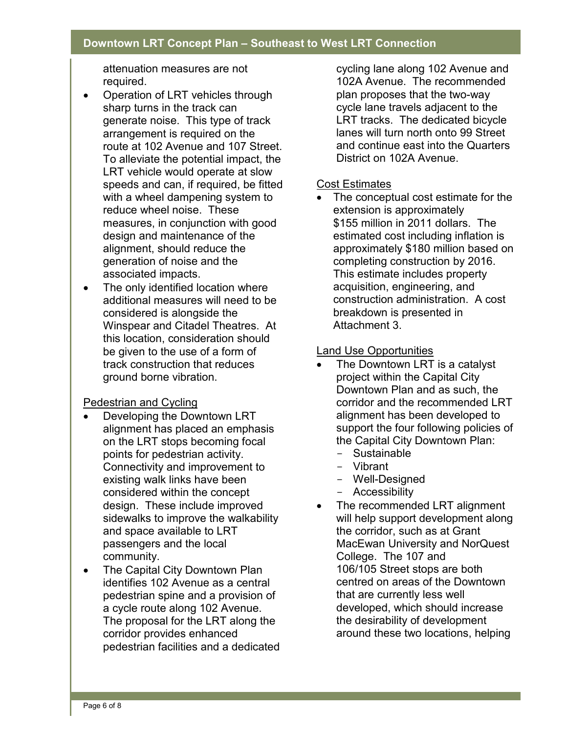attenuation measures are not required.

- Operation of LRT vehicles through sharp turns in the track can generate noise. This type of track arrangement is required on the route at 102 Avenue and 107 Street. To alleviate the potential impact, the LRT vehicle would operate at slow speeds and can, if required, be fitted with a wheel dampening system to reduce wheel noise. These measures, in conjunction with good design and maintenance of the alignment, should reduce the generation of noise and the associated impacts.
- The only identified location where additional measures will need to be considered is alongside the Winspear and Citadel Theatres. At this location, consideration should be given to the use of a form of track construction that reduces ground borne vibration.

#### Pedestrian and Cycling

- Developing the Downtown LRT alignment has placed an emphasis on the LRT stops becoming focal points for pedestrian activity. Connectivity and improvement to existing walk links have been considered within the concept design. These include improved sidewalks to improve the walkability and space available to LRT passengers and the local community.
- The Capital City Downtown Plan identifies 102 Avenue as a central pedestrian spine and a provision of a cycle route along 102 Avenue. The proposal for the LRT along the corridor provides enhanced pedestrian facilities and a dedicated

cycling lane along 102 Avenue and 102A Avenue. The recommended plan proposes that the two-way cycle lane travels adjacent to the LRT tracks. The dedicated bicycle lanes will turn north onto 99 Street and continue east into the Quarters District on 102A Avenue.

#### Cost Estimates

• The conceptual cost estimate for the extension is approximately \$155 million in 2011 dollars. The estimated cost including inflation is approximately \$180 million based on completing construction by 2016. This estimate includes property acquisition, engineering, and construction administration. A cost breakdown is presented in Attachment 3.

#### Land Use Opportunities

- The Downtown LRT is a catalyst project within the Capital City Downtown Plan and as such, the corridor and the recommended LRT alignment has been developed to support the four following policies of the Capital City Downtown Plan:
	- Sustainable
	- Vibrant
	- Well-Designed
	- Accessibility
- The recommended LRT alignment will help support development along the corridor, such as at Grant MacEwan University and NorQuest College. The 107 and 106/105 Street stops are both centred on areas of the Downtown that are currently less well developed, which should increase the desirability of development around these two locations, helping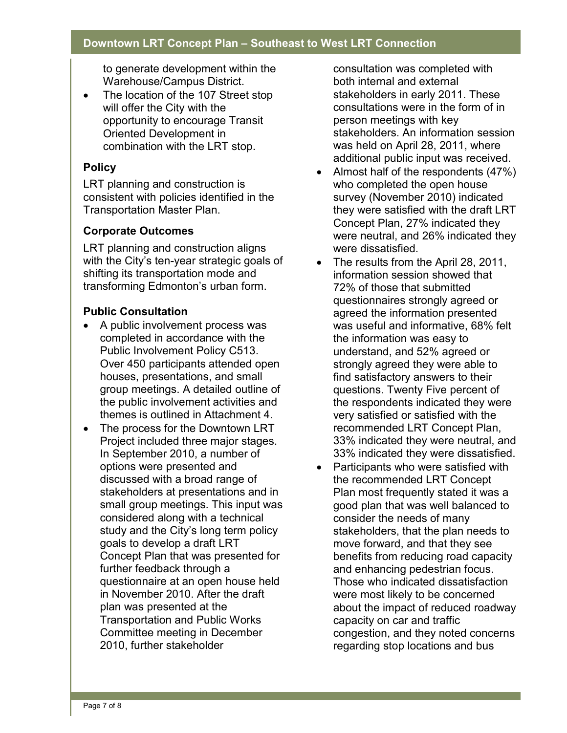to generate development within the Warehouse/Campus District.

• The location of the 107 Street stop will offer the City with the opportunity to encourage Transit Oriented Development in combination with the LRT stop.

# **Policy**

LRT planning and construction is consistent with policies identified in the Transportation Master Plan.

## **Corporate Outcomes**

LRT planning and construction aligns with the City's ten-year strategic goals of shifting its transportation mode and transforming Edmonton's urban form.

## **Public Consultation**

- A public involvement process was completed in accordance with the Public Involvement Policy C513. Over 450 participants attended open houses, presentations, and small group meetings. A detailed outline of the public involvement activities and themes is outlined in Attachment 4.
- The process for the Downtown LRT Project included three major stages. In September 2010, a number of options were presented and discussed with a broad range of stakeholders at presentations and in small group meetings. This input was considered along with a technical study and the City's long term policy goals to develop a draft LRT Concept Plan that was presented for further feedback through a questionnaire at an open house held in November 2010. After the draft plan was presented at the Transportation and Public Works Committee meeting in December 2010, further stakeholder

consultation was completed with both internal and external stakeholders in early 2011. These consultations were in the form of in person meetings with key stakeholders. An information session was held on April 28, 2011, where additional public input was received.

- Almost half of the respondents (47%) who completed the open house survey (November 2010) indicated they were satisfied with the draft LRT Concept Plan, 27% indicated they were neutral, and 26% indicated they were dissatisfied.
- The results from the April 28, 2011, information session showed that 72% of those that submitted questionnaires strongly agreed or agreed the information presented was useful and informative, 68% felt the information was easy to understand, and 52% agreed or strongly agreed they were able to find satisfactory answers to their questions. Twenty Five percent of the respondents indicated they were very satisfied or satisfied with the recommended LRT Concept Plan, 33% indicated they were neutral, and 33% indicated they were dissatisfied.
- Participants who were satisfied with the recommended LRT Concept Plan most frequently stated it was a good plan that was well balanced to consider the needs of many stakeholders, that the plan needs to move forward, and that they see benefits from reducing road capacity and enhancing pedestrian focus. Those who indicated dissatisfaction were most likely to be concerned about the impact of reduced roadway capacity on car and traffic congestion, and they noted concerns regarding stop locations and bus